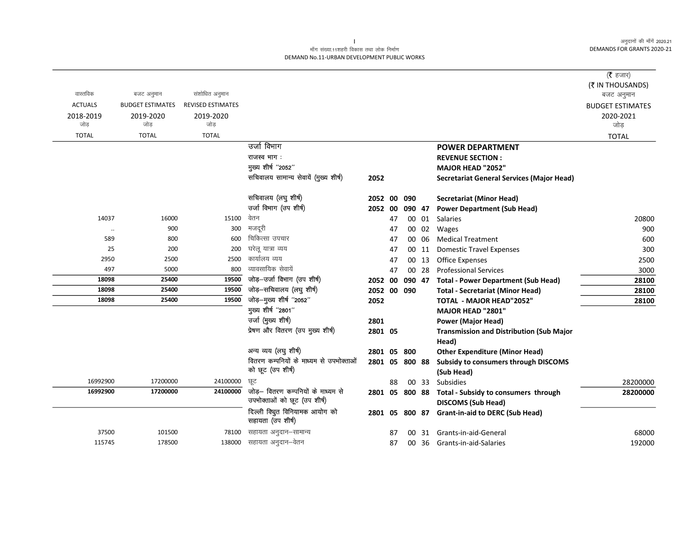#### माँग संख्या.11शहरी विकास तथा लोक निर्माण DEMAND No.11-URBAN DEVELOPMENT PUBLIC WORKS

|                  |                                       |                          |                                                                    |                |    |        |       |                                                                   | ( $\bar{\tau}$ हजार)    |
|------------------|---------------------------------------|--------------------------|--------------------------------------------------------------------|----------------|----|--------|-------|-------------------------------------------------------------------|-------------------------|
| वास्तविक         |                                       | संशोधित अनुमान           |                                                                    |                |    |        |       |                                                                   | (₹ IN THOUSANDS)        |
| <b>ACTUALS</b>   | बजट अनुमान<br><b>BUDGET ESTIMATES</b> | <b>REVISED ESTIMATES</b> |                                                                    |                |    |        |       |                                                                   | बजट अनुमान              |
|                  |                                       |                          |                                                                    |                |    |        |       |                                                                   | <b>BUDGET ESTIMATES</b> |
| 2018-2019<br>जोड | 2019-2020<br>जोड                      | 2019-2020<br>जोड         |                                                                    |                |    |        |       |                                                                   | 2020-2021<br>जोड        |
| <b>TOTAL</b>     | <b>TOTAL</b>                          | <b>TOTAL</b>             |                                                                    |                |    |        |       |                                                                   | <b>TOTAL</b>            |
|                  |                                       |                          | उर्जा विभाग                                                        |                |    |        |       | <b>POWER DEPARTMENT</b>                                           |                         |
|                  |                                       |                          | राजस्व भाग :                                                       |                |    |        |       | <b>REVENUE SECTION:</b>                                           |                         |
|                  |                                       |                          | मुख्य शीर्ष "2052"                                                 |                |    |        |       | MAJOR HEAD "2052"                                                 |                         |
|                  |                                       |                          | सचिवालय सामान्य सेवायें (मुख्य शीर्ष)                              | 2052           |    |        |       | <b>Secretariat General Services (Major Head)</b>                  |                         |
|                  |                                       |                          |                                                                    |                |    |        |       |                                                                   |                         |
|                  |                                       |                          | सचिवालय (लघु शीर्ष)                                                | 2052 00 090    |    |        |       | Secretariat (Minor Head)                                          |                         |
|                  |                                       |                          | उर्जा विभाग (उप शीर्ष)                                             | 2052 00        |    | 090 47 |       | <b>Power Department (Sub Head)</b>                                |                         |
| 14037            | 16000                                 | 15100                    | वेतन                                                               |                | 47 |        | 00 01 | <b>Salaries</b>                                                   | 20800                   |
| $\cdot\cdot$     | 900                                   | 300                      | मजदूरी                                                             |                | 47 |        | 00 02 | Wages                                                             | 900                     |
| 589              | 800                                   | 600                      | चिकित्सा उपचार                                                     |                | 47 |        | 00 06 | <b>Medical Treatment</b>                                          | 600                     |
| 25               | 200                                   | 200                      | घरेलू यात्रा व्यय                                                  |                | 47 |        | 00 11 | <b>Domestic Travel Expenses</b>                                   | 300                     |
| 2950             | 2500                                  | 2500                     | कार्यालय व्यय                                                      |                | 47 |        | 00 13 | <b>Office Expenses</b>                                            | 2500                    |
| 497              | 5000                                  | 800                      | व्यावसायिक सेवायें                                                 |                | 47 |        | 00 28 | <b>Professional Services</b>                                      | 3000                    |
| 18098            | 25400                                 | 19500                    | जोड़-उर्जा विभाग (उप शीर्ष)                                        | 2052 00        |    | 090 47 |       | <b>Total - Power Department (Sub Head)</b>                        | 28100                   |
| 18098            | 25400                                 | 19500                    | जोड़-सचिवालय (लघु शीर्ष)                                           | 2052 00 090    |    |        |       | <b>Total - Secretariat (Minor Head)</b>                           | 28100                   |
| 18098            | 25400                                 | 19500                    | जोड़-मुख्य शीर्ष "2052"                                            | 2052           |    |        |       | TOTAL - MAJOR HEAD"2052"                                          | 28100                   |
|                  |                                       |                          | मुख्य शीर्ष "2801"                                                 |                |    |        |       | MAJOR HEAD "2801"                                                 |                         |
|                  |                                       |                          | उर्जा (मुख्य शीर्ष)                                                | 2801           |    |        |       | <b>Power (Major Head)</b>                                         |                         |
|                  |                                       |                          | प्रेषण और वितरण (उप मुख्य शीर्ष)                                   | 2801 05        |    |        |       | <b>Transmission and Distribution (Sub Major</b>                   |                         |
|                  |                                       |                          |                                                                    |                |    |        |       | Head)                                                             |                         |
|                  |                                       |                          | अन्य व्यय (लघु शीर्ष)                                              | 2801 05        |    | 800    |       | <b>Other Expenditure (Minor Head)</b>                             |                         |
|                  |                                       |                          | वितरण कम्पनियों के माध्यम से उपभोक्ताओं                            | 2801 05 800 88 |    |        |       | Subsidy to consumers through DISCOMS                              |                         |
|                  |                                       |                          | को छूट (उप शीर्ष)                                                  |                |    |        |       | (Sub Head)                                                        |                         |
| 16992900         | 17200000                              | 24100000                 | ਯੂਟ                                                                |                | 88 |        | 00 33 | Subsidies                                                         | 28200000                |
| 16992900         | 17200000                              | 24100000                 | जोड़— वितरण कम्पनियों के माध्यम से<br>उपभोक्ताओं को छूट (उप शीर्ष) | 2801 05 800 88 |    |        |       | Total - Subsidy to consumers through<br><b>DISCOMS (Sub Head)</b> | 28200000                |
|                  |                                       |                          | दिल्ली क्यूित विनियामक आयोग को                                     | 2801 05 800 87 |    |        |       | <b>Grant-in-aid to DERC (Sub Head)</b>                            |                         |
|                  |                                       |                          | सहायता (उप शीर्ष)                                                  |                |    |        |       |                                                                   |                         |
| 37500            | 101500                                | 78100                    | सहायता अनुदान–सामान्य                                              |                | 87 | 00     | 31    | Grants-in-aid-General                                             | 68000                   |
| 115745           | 178500                                | 138000                   | सहायता अनुदान–वेतन                                                 |                | 87 |        | 00 36 | Grants-in-aid-Salaries                                            | 192000                  |
|                  |                                       |                          |                                                                    |                |    |        |       |                                                                   |                         |

 $\mathbf{L}$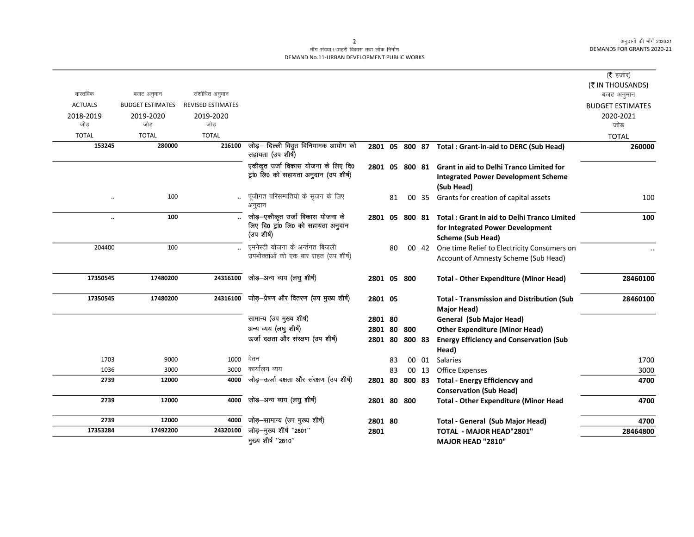# .<br>माँग संख्या.11शहरी विकास तथा लोक निर्माण DEMAND No.11-URBAN DEVELOPMENT PUBLIC WORKS

| ( $\bar{\tau}$ हजार)    |                                                        |       |        |    |                |                                                           |                          |                         |                      |
|-------------------------|--------------------------------------------------------|-------|--------|----|----------------|-----------------------------------------------------------|--------------------------|-------------------------|----------------------|
| (₹ IN THOUSANDS)        |                                                        |       |        |    |                |                                                           |                          |                         |                      |
| बजट अनुमान              |                                                        |       |        |    |                |                                                           | संशोधित अनुमान           | बजट अनुमान              | वास्तविक             |
| <b>BUDGET ESTIMATES</b> |                                                        |       |        |    |                |                                                           | <b>REVISED ESTIMATES</b> | <b>BUDGET ESTIMATES</b> | <b>ACTUALS</b>       |
| 2020-2021               |                                                        |       |        |    |                |                                                           | 2019-2020                | 2019-2020               | 2018-2019            |
| जोड                     |                                                        |       |        |    |                |                                                           | जोड                      | जोड                     | जोड                  |
| <b>TOTAL</b>            |                                                        |       |        |    |                |                                                           | <b>TOTAL</b>             | <b>TOTAL</b>            | <b>TOTAL</b>         |
| 260000                  | 2801 05 800 87 Total : Grant-in-aid to DERC (Sub Head) |       |        |    |                | जोड़— दिल्ली क्यिुत विनियामक आयोग को<br>सहायता (उप शीर्ष) | 216100                   | 280000                  | 153245               |
|                         | <b>Grant in aid to Delhi Tranco Limited for</b>        |       |        |    | 2801 05 800 81 | एकीकृत उर्जा विकास योजना के लिए दि0                       |                          |                         |                      |
|                         | <b>Integrated Power Development Scheme</b>             |       |        |    |                | ट्रां0 लि0 को सहायता अनुदान (उप शीर्ष)                    |                          |                         |                      |
|                         | (Sub Head)                                             |       |        |    |                |                                                           |                          |                         |                      |
| 100                     | Grants for creation of capital assets                  | 00 35 |        | 81 |                | पूंजीगत परिसम्पतियो के सृजन के लिए<br>अनुदान              |                          | 100                     | $\ddot{\phantom{a}}$ |
| 100                     | <b>Total: Grant in aid to Delhi Tranco Limited</b>     |       | 800 81 |    | 2801 05        | जोड़–एकीकृत उर्जा विकास योजना के                          |                          | 100                     | $\ddot{\phantom{a}}$ |
|                         | for Integrated Power Development                       |       |        |    |                | लिए दि0 ट्रां0 लि0 को सहायता अनुदान                       |                          |                         |                      |
|                         | <b>Scheme (Sub Head)</b>                               |       |        |    |                | (उप शीर्ष)                                                |                          |                         |                      |
|                         | One time Relief to Electricity Consumers on            | 00 42 |        | 80 |                | एमनेस्टी योजना के अर्न्तगत बिजली                          |                          | 100                     | 204400               |
|                         | Account of Amnesty Scheme (Sub Head)                   |       |        |    |                | उपभोक्ताओं को एक बार राहत (उप शीर्ष)                      |                          |                         |                      |
| 28460100                | <b>Total - Other Expenditure (Minor Head)</b>          |       |        |    | 2801 05 800    | जोड़—अन्य व्यय (लघु शीर्ष)                                | 24316100                 | 17480200                | 17350545             |
| 28460100                | <b>Total - Transmission and Distribution (Sub</b>      |       |        |    | 2801 05        | 24316100 जोड़-प्रेषण और वितरण (उप मुख्य शीर्ष)            |                          | 17480200                | 17350545             |
|                         | Major Head)                                            |       |        |    |                |                                                           |                          |                         |                      |
|                         | General (Sub Major Head)                               |       |        |    | 2801 80        | सामान्य (उप मुख्य शीर्ष)                                  |                          |                         |                      |
|                         | <b>Other Expenditure (Minor Head)</b>                  |       |        |    | 2801 80 800    | अन्य व्यय (लघु शीर्ष)                                     |                          |                         |                      |
|                         | <b>Energy Efficiency and Conservation (Sub</b>         |       | 800 83 |    | 2801 80        | ऊर्जा दक्षता और संरक्षण (उप शीर्ष)                        |                          |                         |                      |
|                         | Head)                                                  |       |        |    |                |                                                           |                          |                         |                      |
| 1700                    | Salaries                                               | 00 01 |        | 83 |                | वेतन                                                      | 1000                     | 9000                    | 1703                 |
| 3000                    | <b>Office Expenses</b>                                 |       | 00 13  | 83 |                | कार्यालय व्यय                                             | 3000                     | 3000                    | 1036                 |
| 4700                    | 800 83 Total - Energy Efficiencvy and                  |       |        |    | 2801 80        | जोड़-ऊर्जा दक्षता और संरक्षण (उप शीर्ष)                   | 4000                     | 12000                   | 2739                 |
|                         | <b>Conservation (Sub Head)</b>                         |       |        |    |                |                                                           |                          |                         |                      |
| 4700                    | <b>Total - Other Expenditure (Minor Head</b>           |       |        |    | 2801 80 800    | जोड़-अन्य व्यय (लघु शीर्ष)                                | 4000                     | 12000                   | 2739                 |
| 4700                    | <b>Total - General (Sub Major Head)</b>                |       |        |    | 2801 80        | जोड़-सामान्य (उप मुख्य शीर्ष)                             | 4000                     | 12000                   | 2739                 |
| 28464800                | <b>TOTAL - MAJOR HEAD"2801"</b>                        |       |        |    | 2801           | जोड़-मुख्य शीर्ष "2801"                                   | 24320100                 | 17492200                | 17353284             |
|                         | MAJOR HEAD "2810"                                      |       |        |    |                | मुख्य शीर्ष "2810"                                        |                          |                         |                      |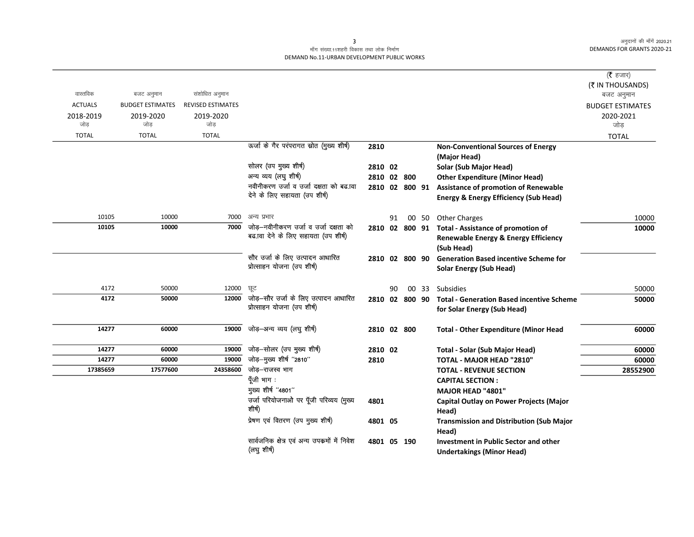# माँग संख्या.11शहरी विकास तथा लोक निर्माण DEMAND No.11-URBAN DEVELOPMENT PUBLIC WORKS

|                |                         |                          |                                                       |             |    |                |                                                         | ( $\bar{\tau}$ हजार)           |
|----------------|-------------------------|--------------------------|-------------------------------------------------------|-------------|----|----------------|---------------------------------------------------------|--------------------------------|
| वास्तविक       | बजट अनुमान              | संशोधित अनुमान           |                                                       |             |    |                |                                                         | (₹ IN THOUSANDS)<br>बजट अनुमान |
| <b>ACTUALS</b> | <b>BUDGET ESTIMATES</b> | <b>REVISED ESTIMATES</b> |                                                       |             |    |                |                                                         | <b>BUDGET ESTIMATES</b>        |
| 2018-2019      | 2019-2020               | 2019-2020                |                                                       |             |    |                |                                                         | 2020-2021                      |
| जोड            | जोड़                    | जोड़                     |                                                       |             |    |                |                                                         | जोड                            |
| <b>TOTAL</b>   | <b>TOTAL</b>            | <b>TOTAL</b>             |                                                       |             |    |                |                                                         | <b>TOTAL</b>                   |
|                |                         |                          | ऊर्जा के गैर परंपरागत स्रोत (मुख्य शीर्ष)             | 2810        |    |                | <b>Non-Conventional Sources of Energy</b>               |                                |
|                |                         |                          |                                                       |             |    |                | (Major Head)                                            |                                |
|                |                         |                          | सोलर (उप मुख्य शीर्ष)                                 | 2810 02     |    |                | Solar (Sub Major Head)                                  |                                |
|                |                         |                          | अन्य व्यय (लघु शीर्ष)                                 | 2810 02 800 |    |                | <b>Other Expenditure (Minor Head)</b>                   |                                |
|                |                         |                          | नवीनीकरण उर्जा व उर्जा दक्षता को बढ.ावा               |             |    |                | 2810 02 800 91 Assistance of promotion of Renewable     |                                |
|                |                         |                          | देने के लिए सहायता (उप शीर्ष)                         |             |    |                | <b>Energy &amp; Energy Efficiency (Sub Head)</b>        |                                |
| 10105          | 10000                   | 7000                     | अन्य प्रभार                                           |             | 91 |                | 00 50 Other Charges                                     | 10000                          |
| 10105          | 10000                   | 7000                     | जोड़-नवीनीकरण उर्जा व उर्जा दक्षता को                 |             |    |                | 2810 02 800 91 Total - Assistance of promotion of       | 10000                          |
|                |                         |                          | बढ.ावा देने के लिए सहायता (उप शीर्ष)                  |             |    |                | <b>Renewable Energy &amp; Energy Efficiency</b>         |                                |
|                |                         |                          |                                                       |             |    |                | (Sub Head)                                              |                                |
|                |                         |                          | सौर उर्जा के लिए उत्पादन आधारित                       |             |    | 2810 02 800 90 | <b>Generation Based incentive Scheme for</b>            |                                |
|                |                         |                          | प्रोत्साहन योजना (उप शीर्ष)                           |             |    |                | <b>Solar Energy (Sub Head)</b>                          |                                |
| 4172           | 50000                   | 12000                    | छूट                                                   |             |    |                | 00 33 Subsidies                                         |                                |
| 4172           | 50000                   | 12000                    | जोड़–सौर उर्जा के लिए उत्पादन आधारित                  |             | 90 |                |                                                         | 50000                          |
|                |                         |                          | प्रोत्साहन योजना (उप शीर्ष)                           |             |    | 2810 02 800 90 | <b>Total - Generation Based incentive Scheme</b>        | 50000                          |
|                |                         |                          |                                                       |             |    |                | for Solar Energy (Sub Head)                             |                                |
| 14277          | 60000                   | 19000                    | जोड़-अन्य व्यय (लघु शीर्ष)                            | 2810 02 800 |    |                | <b>Total - Other Expenditure (Minor Head</b>            | 60000                          |
|                |                         |                          |                                                       |             |    |                |                                                         |                                |
| 14277          | 60000                   | 19000<br>19000           | जोड़-सोलर (उप मुख्य शीर्ष)<br>जोड़-मुख्य शीर्ष "2810" | 2810 02     |    |                | <b>Total - Solar (Sub Major Head)</b>                   | 60000                          |
| 14277          | 60000                   | 24358600                 | जोड़–राजस्व भाग                                       | 2810        |    |                | TOTAL - MAJOR HEAD "2810"                               | 60000                          |
| 17385659       | 17577600                |                          | पूँजी भाग :                                           |             |    |                | <b>TOTAL - REVENUE SECTION</b>                          | 28552900                       |
|                |                         |                          | मुख्य शीर्ष "4801"                                    |             |    |                | <b>CAPITAL SECTION:</b>                                 |                                |
|                |                         |                          | उर्जा परियोजनाओ पर पूँजी परिव्यय (मुख्य               |             |    |                | MAJOR HEAD "4801"                                       |                                |
|                |                         |                          | शीर्ष)                                                | 4801        |    |                | <b>Capital Outlay on Power Projects (Major</b><br>Head) |                                |
|                |                         |                          | प्रेषण एवं वितरण (उप मुख्य शीर्ष)                     | 4801 05     |    |                | <b>Transmission and Distribution (Sub Major</b>         |                                |
|                |                         |                          |                                                       |             |    |                | Head)                                                   |                                |
|                |                         |                          | सार्वजनिक क्षेत्र एवं अन्य उपकर्मो में निवेश          | 4801 05 190 |    |                | <b>Investment in Public Sector and other</b>            |                                |
|                |                         |                          | (लघु शीर्ष)                                           |             |    |                | <b>Undertakings (Minor Head)</b>                        |                                |

 $\overline{\mathbf{3}}$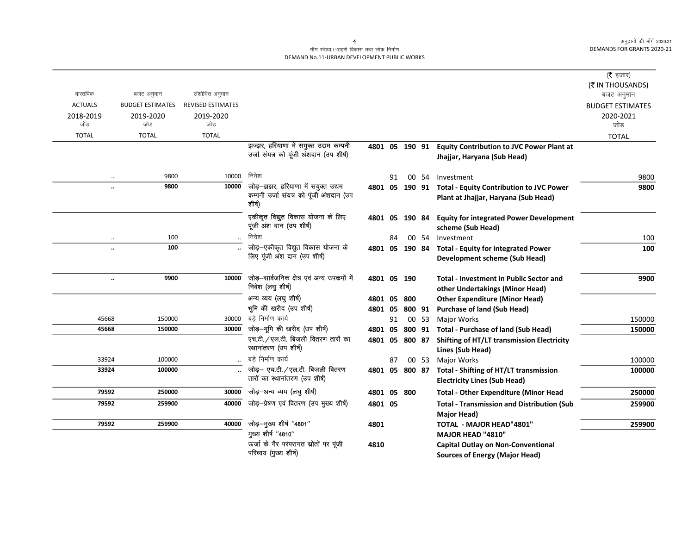#### माँग संख्या.11शहरी विकास तथा लोक निर्माण DEMAND No.11-URBAN DEVELOPMENT PUBLIC WORKS

|                      |                         |                          |                                                                                         |             |    |                |       |                                                                                                 | ( <b>रै</b> हजार)       |
|----------------------|-------------------------|--------------------------|-----------------------------------------------------------------------------------------|-------------|----|----------------|-------|-------------------------------------------------------------------------------------------------|-------------------------|
|                      |                         |                          |                                                                                         |             |    |                |       |                                                                                                 | (₹ IN THOUSANDS)        |
| वास्तविक             | बजट अनुमान              | संशोधित अनुमान           |                                                                                         |             |    |                |       |                                                                                                 | बजट अनुमान              |
| <b>ACTUALS</b>       | <b>BUDGET ESTIMATES</b> | <b>REVISED ESTIMATES</b> |                                                                                         |             |    |                |       |                                                                                                 | <b>BUDGET ESTIMATES</b> |
| 2018-2019            | 2019-2020               | 2019-2020                |                                                                                         |             |    |                |       |                                                                                                 | 2020-2021               |
| जोड                  | जोड                     | जोड                      |                                                                                         |             |    |                |       |                                                                                                 | जोड                     |
| <b>TOTAL</b>         | <b>TOTAL</b>            | <b>TOTAL</b>             |                                                                                         |             |    |                |       |                                                                                                 | <b>TOTAL</b>            |
|                      |                         |                          | झज्झर, हरियाणा में सयुक्त उद्यम कम्पनी<br>उर्जा संयत्र को पूंजी अंशदान (उप शीर्ष)       |             |    |                |       | 4801 05 190 91 Equity Contribution to JVC Power Plant at<br>Jhajjar, Haryana (Sub Head)         |                         |
| $\ddotsc$            | 9800                    | 10000                    | निवेश                                                                                   |             | 91 |                | 00 54 | Investment                                                                                      | 9800                    |
| $\ddotsc$            | 9800                    | 10000                    | जोड़-झझर, हरियाणा में सयुक्त उद्यम<br>कम्पनी उर्जा संयत्र को पूंजी अंशदान (उप<br>शीर्ष) |             |    |                |       | 4801 05 190 91 Total - Equity Contribution to JVC Power<br>Plant at Jhajjar, Haryana (Sub Head) | 9800                    |
|                      |                         |                          | एकीकृत विद्युत विकास योजना के लिए<br>पूंजी अंश दान (उप शीर्ष)                           |             |    | 4801 05 190 84 |       | <b>Equity for integrated Power Development</b><br>scheme (Sub Head)                             |                         |
|                      | 100                     |                          | निवेश                                                                                   |             | 84 |                | 00 54 | Investment                                                                                      | 100                     |
|                      | 100                     |                          | जोड़–एकीकृत विद्युत विकास योजना के<br>लिए पूंजी अंश दान (उप शीर्ष)                      |             |    |                |       | 4801 05 190 84 Total - Equity for integrated Power<br>Development scheme (Sub Head)             | 100                     |
| $\ddot{\phantom{a}}$ | 9900                    | 10000                    | जोड़–सार्वजनिक क्षेत्र एवं अन्य उपकर्मो में<br>निवेश (लघु शीर्ष)                        | 4801 05 190 |    |                |       | <b>Total - Investment in Public Sector and</b><br>other Undertakings (Minor Head)               | 9900                    |
|                      |                         |                          | अन्य व्यय (लघु शीर्ष)                                                                   | 4801 05     |    | 800            |       | <b>Other Expenditure (Minor Head)</b>                                                           |                         |
|                      |                         |                          | भूमि को खरीद (उप शीर्ष)                                                                 | 4801 05     |    | 800 91         |       | <b>Purchase of land (Sub Head)</b>                                                              |                         |
| 45668                | 150000                  | 30000                    | बडे निर्माण कार्य                                                                       |             | 91 |                | 00 53 | Major Works                                                                                     | 150000                  |
| 45668                | 150000                  | 30000                    | जोड़-भूमि को खरीद (उप शीर्ष)                                                            | 4801 05     |    |                |       | 800 91 Total - Purchase of land (Sub Head)                                                      | 150000                  |
|                      |                         |                          | एच.टी. / एल.टी. बिजली वितरण तारों का<br>स्थानांतरण (उप शीर्ष)                           |             |    | 4801 05 800 87 |       | <b>Shifting of HT/LT transmission Electricity</b><br>Lines (Sub Head)                           |                         |
| 33924                | 100000                  |                          | बडे निर्माण कार्य                                                                       |             | 87 |                | 00 53 | Major Works                                                                                     | 100000                  |
| 33924                | 100000                  |                          | जोड़- एच.टी. / एल.टी. बिजली वितरण<br>तारों का स्थानांतरण (उप शीर्ष)                     | 4801 05     |    | 800 87         |       | <b>Total - Shifting of HT/LT transmission</b><br><b>Electricity Lines (Sub Head)</b>            | 100000                  |
| 79592                | 250000                  | 30000                    | जोड़-अन्य व्यय (लघु शीर्ष)                                                              | 4801 05 800 |    |                |       | <b>Total - Other Expenditure (Minor Head</b>                                                    | 250000                  |
| 79592                | 259900                  | 40000                    | जोड़-प्रेषण एवं वितरण (उप मुख्य शीर्ष)                                                  | 4801 05     |    |                |       | <b>Total - Transmission and Distribution (Sub</b><br>Major Head)                                | 259900                  |
| 79592                | 259900                  | 40000                    | जोड़-मुख्य शीर्ष "4801"                                                                 | 4801        |    |                |       | <b>TOTAL - MAJOR HEAD"4801"</b>                                                                 | 259900                  |
|                      |                         |                          | मुख्य शीर्ष "4810"                                                                      |             |    |                |       | <b>MAJOR HEAD "4810"</b>                                                                        |                         |
|                      |                         |                          | ऊर्जा के गैर परंपरागत स्रोतों पर पूंजी<br>परिव्यय (मुख्य शीर्ष)                         | 4810        |    |                |       | Capital Outlay on Non-Conventional<br><b>Sources of Energy (Major Head)</b>                     |                         |

4